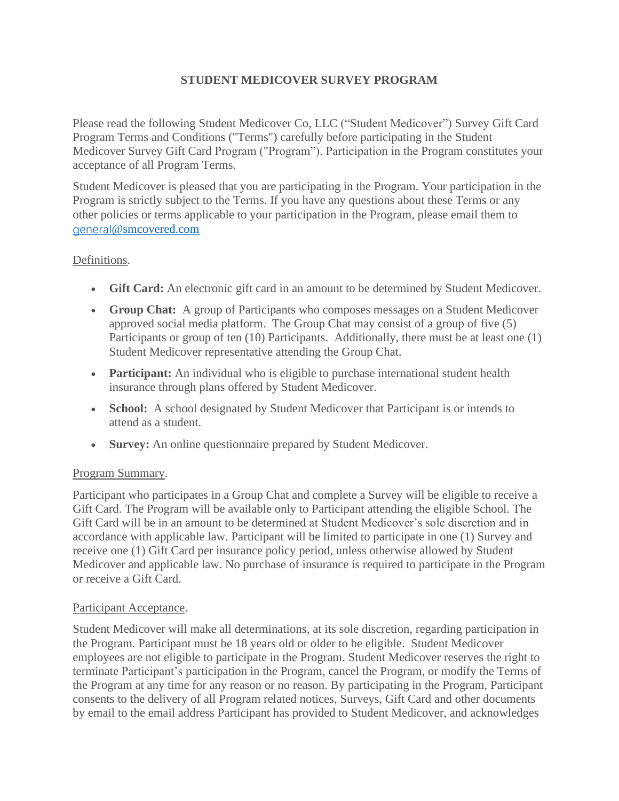# **STUDENT MEDICOVER SURVEY PROGRAM**

Please read the following Student Medicover Co, LLC ("Student Medicover") Survey Gift Card Program Terms and Conditions ("Terms") carefully before participating in the Student Medicover Survey Gift Card Program ("Program"). Participation in the Program constitutes your acceptance of all Program Terms.

Student Medicover is pleased that you are participating in the Program. Your participation in the Program is strictly subject to the Terms. If you have any questions about these Terms or any other policies or terms applicable to your participation in the Program, please email them to [general](mailto:general@smcovered.com)[@smcovered.com](mailto:general@smcovered.com)

## Definitions.

- **Gift Card:** An electronic gift card in an amount to be determined by Student Medicover.
- **Group Chat:** A group of Participants who composes messages on a Student Medicover approved social media platform. The Group Chat may consist of a group of five (5) Participants or group of ten (10) Participants. Additionally, there must be at least one (1) Student Medicover representative attending the Group Chat.
- **Participant:** An individual who is eligible to purchase international student health insurance through plans offered by Student Medicover.
- **School:** A school designated by Student Medicover that Participant is or intends to attend as a student.
- **Survey:** An online questionnaire prepared by Student Medicover.

### Program Summary.

Participant who participates in a Group Chat and complete a Survey will be eligible to receive a Gift Card. The Program will be available only to Participant attending the eligible School. The Gift Card will be in an amount to be determined at Student Medicover's sole discretion and in accordance with applicable law. Participant will be limited to participate in one (1) Survey and receive one (1) Gift Card per insurance policy period, unless otherwise allowed by Student Medicover and applicable law. No purchase of insurance is required to participate in the Program or receive a Gift Card.

### Participant Acceptance.

Student Medicover will make all determinations, at its sole discretion, regarding participation in the Program. Participant must be 18 years old or older to be eligible. Student Medicover employees are not eligible to participate in the Program. Student Medicover reserves the right to terminate Participant's participation in the Program, cancel the Program, or modify the Terms of the Program at any time for any reason or no reason. By participating in the Program, Participant consents to the delivery of all Program related notices, Surveys, Gift Card and other documents by email to the email address Participant has provided to Student Medicover, and acknowledges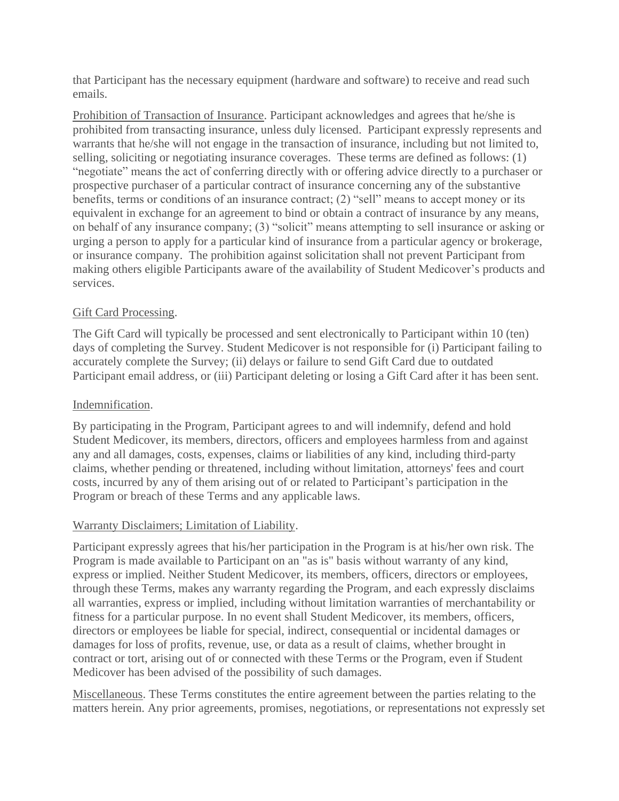that Participant has the necessary equipment (hardware and software) to receive and read such emails.

Prohibition of Transaction of Insurance. Participant acknowledges and agrees that he/she is prohibited from transacting insurance, unless duly licensed. Participant expressly represents and warrants that he/she will not engage in the transaction of insurance, including but not limited to, selling, soliciting or negotiating insurance coverages. These terms are defined as follows: (1) "negotiate" means the act of conferring directly with or offering advice directly to a purchaser or prospective purchaser of a particular contract of insurance concerning any of the substantive benefits, terms or conditions of an insurance contract; (2) "sell" means to accept money or its equivalent in exchange for an agreement to bind or obtain a contract of insurance by any means, on behalf of any insurance company; (3) "solicit" means attempting to sell insurance or asking or urging a person to apply for a particular kind of insurance from a particular agency or brokerage, or insurance company. The prohibition against solicitation shall not prevent Participant from making others eligible Participants aware of the availability of Student Medicover's products and services.

## Gift Card Processing.

The Gift Card will typically be processed and sent electronically to Participant within 10 (ten) days of completing the Survey. Student Medicover is not responsible for (i) Participant failing to accurately complete the Survey; (ii) delays or failure to send Gift Card due to outdated Participant email address, or (iii) Participant deleting or losing a Gift Card after it has been sent.

## Indemnification.

By participating in the Program, Participant agrees to and will indemnify, defend and hold Student Medicover, its members, directors, officers and employees harmless from and against any and all damages, costs, expenses, claims or liabilities of any kind, including third-party claims, whether pending or threatened, including without limitation, attorneys' fees and court costs, incurred by any of them arising out of or related to Participant's participation in the Program or breach of these Terms and any applicable laws.

## Warranty Disclaimers; Limitation of Liability.

Participant expressly agrees that his/her participation in the Program is at his/her own risk. The Program is made available to Participant on an "as is" basis without warranty of any kind, express or implied. Neither Student Medicover, its members, officers, directors or employees, through these Terms, makes any warranty regarding the Program, and each expressly disclaims all warranties, express or implied, including without limitation warranties of merchantability or fitness for a particular purpose. In no event shall Student Medicover, its members, officers, directors or employees be liable for special, indirect, consequential or incidental damages or damages for loss of profits, revenue, use, or data as a result of claims, whether brought in contract or tort, arising out of or connected with these Terms or the Program, even if Student Medicover has been advised of the possibility of such damages.

Miscellaneous. These Terms constitutes the entire agreement between the parties relating to the matters herein. Any prior agreements, promises, negotiations, or representations not expressly set